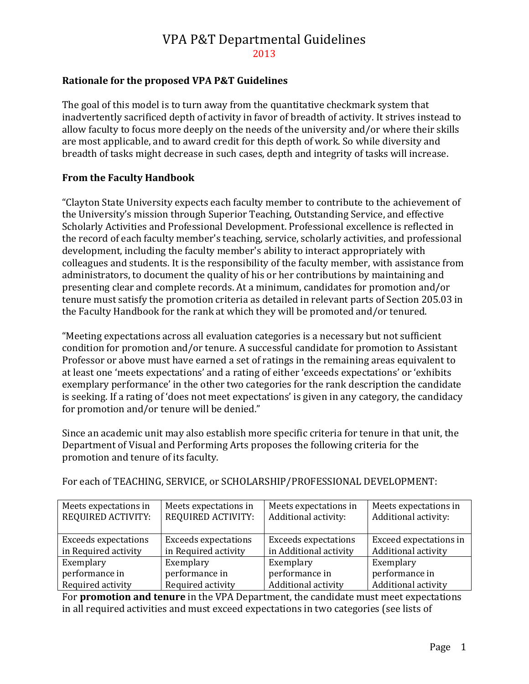## **Rationale for the proposed VPA P&T Guidelines**

The goal of this model is to turn away from the quantitative checkmark system that inadvertently sacrificed depth of activity in favor of breadth of activity. It strives instead to allow faculty to focus more deeply on the needs of the university and/or where their skills are most applicable, and to award credit for this depth of work. So while diversity and breadth of tasks might decrease in such cases, depth and integrity of tasks will increase.

### **From the Faculty Handbook**

"Clayton State University expects each faculty member to contribute to the achievement of the University's mission through Superior Teaching, Outstanding Service, and effective Scholarly Activities and Professional Development. Professional excellence is reflected in the record of each faculty member's teaching, service, scholarly activities, and professional development, including the faculty member's ability to interact appropriately with colleagues and students. It is the responsibility of the faculty member, with assistance from administrators, to document the quality of his or her contributions by maintaining and presenting clear and complete records. At a minimum, candidates for promotion and/or tenure must satisfy the promotion criteria as detailed in relevant parts of Section 205.03 in the Faculty Handbook for the rank at which they will be promoted and/or tenured.

"Meeting expectations across all evaluation categories is a necessary but not sufficient condition for promotion and/or tenure. A successful candidate for promotion to Assistant Professor or above must have earned a set of ratings in the remaining areas equivalent to at least one 'meets expectations' and a rating of either 'exceeds expectations' or 'exhibits exemplary performance' in the other two categories for the rank description the candidate is seeking. If a rating of 'does not meet expectations' is given in any category, the candidacy for promotion and/or tenure will be denied."

Since an academic unit may also establish more specific criteria for tenure in that unit, the Department of Visual and Performing Arts proposes the following criteria for the promotion and tenure of its faculty.

| Meets expectations in<br><b>REQUIRED ACTIVITY:</b> | Meets expectations in<br><b>REQUIRED ACTIVITY:</b> | Meets expectations in<br>Additional activity: | Meets expectations in<br>Additional activity: |
|----------------------------------------------------|----------------------------------------------------|-----------------------------------------------|-----------------------------------------------|
| <b>Exceeds expectations</b>                        | <b>Exceeds expectations</b>                        | <b>Exceeds expectations</b>                   | Exceed expectations in                        |
| in Required activity                               | in Required activity                               | in Additional activity                        | <b>Additional activity</b>                    |
| Exemplary                                          | Exemplary                                          | Exemplary                                     | Exemplary                                     |
| performance in                                     | performance in                                     | performance in                                | performance in                                |
| Required activity                                  | Required activity                                  | Additional activity                           | <b>Additional activity</b>                    |

For each of TEACHING, SERVICE, or SCHOLARSHIP/PROFESSIONAL DEVELOPMENT:

For **promotion and tenure** in the VPA Department, the candidate must meet expectations in all required activities and must exceed expectations in two categories (see lists of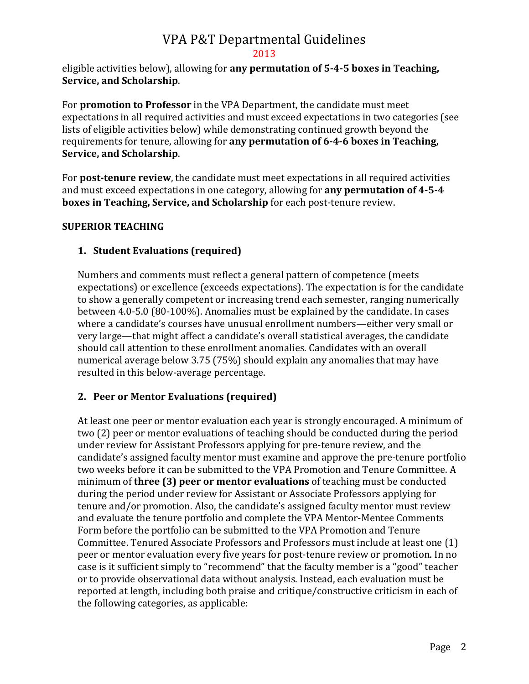eligible activities below), allowing for **any permutation of 5-4-5 boxes in Teaching, Service, and Scholarship**.

For **promotion to Professor** in the VPA Department, the candidate must meet expectations in all required activities and must exceed expectations in two categories (see lists of eligible activities below) while demonstrating continued growth beyond the requirements for tenure, allowing for **any permutation of 6-4-6 boxes in Teaching, Service, and Scholarship**.

For **post-tenure review**, the candidate must meet expectations in all required activities and must exceed expectations in one category, allowing for **any permutation of 4-5-4 boxes in Teaching, Service, and Scholarship** for each post-tenure review.

## **SUPERIOR TEACHING**

## **1. Student Evaluations (required)**

Numbers and comments must reflect a general pattern of competence (meets expectations) or excellence (exceeds expectations). The expectation is for the candidate to show a generally competent or increasing trend each semester, ranging numerically between 4.0-5.0 (80-100%). Anomalies must be explained by the candidate. In cases where a candidate's courses have unusual enrollment numbers—either very small or very large—that might affect a candidate's overall statistical averages, the candidate should call attention to these enrollment anomalies. Candidates with an overall numerical average below 3.75 (75%) should explain any anomalies that may have resulted in this below-average percentage.

## **2. Peer or Mentor Evaluations (required)**

At least one peer or mentor evaluation each year is strongly encouraged. A minimum of two (2) peer or mentor evaluations of teaching should be conducted during the period under review for Assistant Professors applying for pre-tenure review, and the candidate's assigned faculty mentor must examine and approve the pre-tenure portfolio two weeks before it can be submitted to the VPA Promotion and Tenure Committee. A minimum of **three (3) peer or mentor evaluations** of teaching must be conducted during the period under review for Assistant or Associate Professors applying for tenure and/or promotion. Also, the candidate's assigned faculty mentor must review and evaluate the tenure portfolio and complete the VPA Mentor-Mentee Comments Form before the portfolio can be submitted to the VPA Promotion and Tenure Committee. Tenured Associate Professors and Professors must include at least one (1) peer or mentor evaluation every five years for post-tenure review or promotion. In no case is it sufficient simply to "recommend" that the faculty member is a "good" teacher or to provide observational data without analysis. Instead, each evaluation must be reported at length, including both praise and critique/constructive criticism in each of the following categories, as applicable: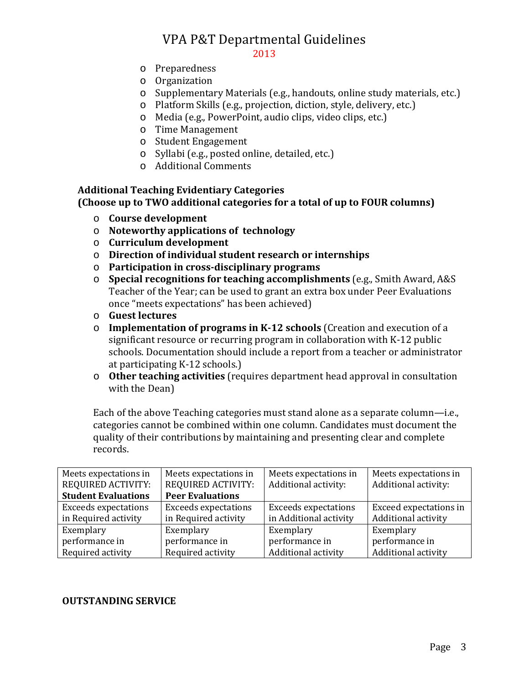#### 2013

- o Preparedness
- o Organization
- o Supplementary Materials (e.g., handouts, online study materials, etc.)
- o Platform Skills (e.g., projection, diction, style, delivery, etc.)
- o Media (e.g., PowerPoint, audio clips, video clips, etc.)
- o Time Management
- o Student Engagement
- o Syllabi (e.g., posted online, detailed, etc.)
- o Additional Comments

#### **Additional Teaching Evidentiary Categories (Choose up to TWO additional categories for a total of up to FOUR columns)**

- o **Course development**
- o **Noteworthy applications of technology**
- o **Curriculum development**
- o **Direction of individual student research or internships**
- o **Participation in cross-disciplinary programs**
- o **Special recognitions for teaching accomplishments** (e.g., Smith Award, A&S Teacher of the Year; can be used to grant an extra box under Peer Evaluations once "meets expectations" has been achieved)
- o **Guest lectures**
- o **Implementation of programs in K-12 schools** (Creation and execution of a significant resource or recurring program in collaboration with K-12 public schools. Documentation should include a report from a teacher or administrator at participating K-12 schools.)
- o **Other teaching activities** (requires department head approval in consultation with the Dean)

Each of the above Teaching categories must stand alone as a separate column—i.e., categories cannot be combined within one column. Candidates must document the quality of their contributions by maintaining and presenting clear and complete records.

| Meets expectations in<br><b>REQUIRED ACTIVITY:</b><br><b>Student Evaluations</b> | Meets expectations in<br><b>REQUIRED ACTIVITY:</b><br><b>Peer Evaluations</b> | Meets expectations in<br>Additional activity: | Meets expectations in<br>Additional activity: |
|----------------------------------------------------------------------------------|-------------------------------------------------------------------------------|-----------------------------------------------|-----------------------------------------------|
| <b>Exceeds expectations</b>                                                      | <b>Exceeds expectations</b>                                                   |                                               | Exceed expectations in                        |
|                                                                                  |                                                                               | <b>Exceeds expectations</b>                   |                                               |
| in Required activity                                                             | in Required activity                                                          | in Additional activity                        | Additional activity                           |
| Exemplary                                                                        | Exemplary                                                                     | Exemplary                                     | Exemplary                                     |
| performance in                                                                   | performance in                                                                | performance in                                | performance in                                |
| Required activity                                                                | Required activity                                                             | Additional activity                           | Additional activity                           |

#### **OUTSTANDING SERVICE**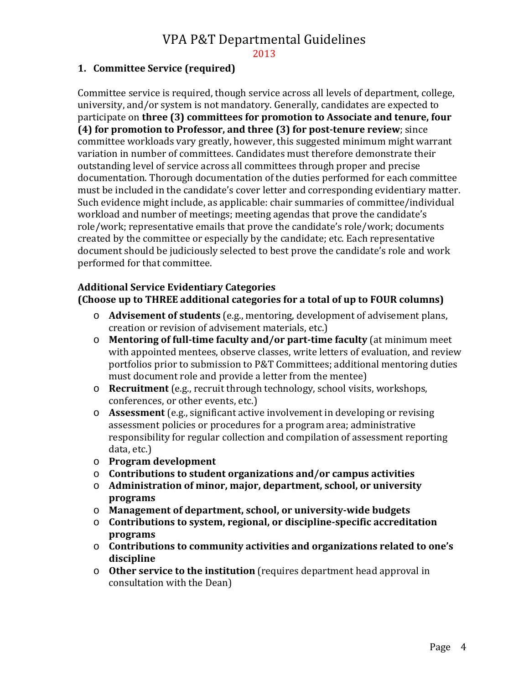2013

#### **1. Committee Service (required)**

Committee service is required, though service across all levels of department, college, university, and/or system is not mandatory. Generally, candidates are expected to participate on **three (3) committees for promotion to Associate and tenure, four (4) for promotion to Professor, and three (3) for post-tenure review**; since committee workloads vary greatly, however, this suggested minimum might warrant variation in number of committees. Candidates must therefore demonstrate their outstanding level of service across all committees through proper and precise documentation. Thorough documentation of the duties performed for each committee must be included in the candidate's cover letter and corresponding evidentiary matter. Such evidence might include, as applicable: chair summaries of committee/individual workload and number of meetings; meeting agendas that prove the candidate's role/work; representative emails that prove the candidate's role/work; documents created by the committee or especially by the candidate; etc. Each representative document should be judiciously selected to best prove the candidate's role and work performed for that committee.

#### **Additional Service Evidentiary Categories (Choose up to THREE additional categories for a total of up to FOUR columns)**

- o **Advisement of students** (e.g., mentoring, development of advisement plans, creation or revision of advisement materials, etc.)
- o **Mentoring of full-time faculty and/or part-time faculty** (at minimum meet with appointed mentees, observe classes, write letters of evaluation, and review portfolios prior to submission to P&T Committees; additional mentoring duties must document role and provide a letter from the mentee)
- o **Recruitment** (e.g., recruit through technology, school visits, workshops, conferences, or other events, etc.)
- o **Assessment** (e.g., significant active involvement in developing or revising assessment policies or procedures for a program area; administrative responsibility for regular collection and compilation of assessment reporting data, etc.)
- o **Program development**
- o **Contributions to student organizations and/or campus activities**
- o **Administration of minor, major, department, school, or university programs**
- o **Management of department, school, or university-wide budgets**
- o **Contributions to system, regional, or discipline-specific accreditation programs**
- o **Contributions to community activities and organizations related to one's discipline**
- o **Other service to the institution** (requires department head approval in consultation with the Dean)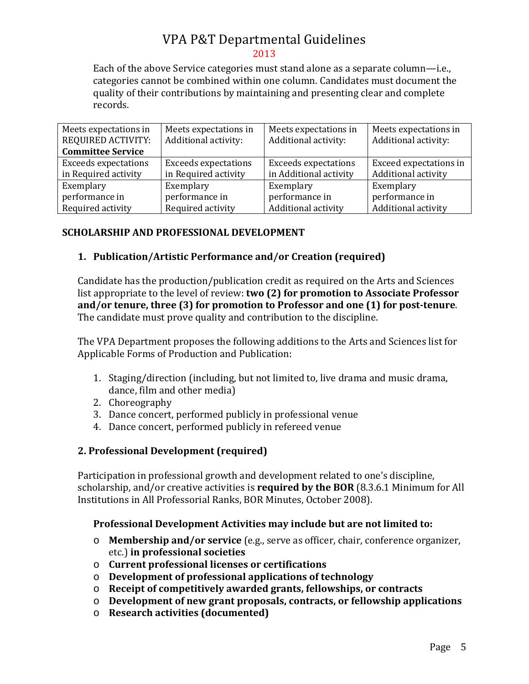Each of the above Service categories must stand alone as a separate column—i.e., categories cannot be combined within one column. Candidates must document the quality of their contributions by maintaining and presenting clear and complete records.

| Meets expectations in       | Meets expectations in       | Meets expectations in       | Meets expectations in  |
|-----------------------------|-----------------------------|-----------------------------|------------------------|
| <b>REQUIRED ACTIVITY:</b>   | Additional activity:        | Additional activity:        | Additional activity:   |
| <b>Committee Service</b>    |                             |                             |                        |
| <b>Exceeds expectations</b> | <b>Exceeds expectations</b> | <b>Exceeds expectations</b> | Exceed expectations in |
| in Required activity        | in Required activity        | in Additional activity      | Additional activity    |
| Exemplary                   | Exemplary                   | Exemplary                   | Exemplary              |
| performance in              | performance in              | performance in              | performance in         |
| Required activity           | Required activity           | Additional activity         | Additional activity    |

## **SCHOLARSHIP AND PROFESSIONAL DEVELOPMENT**

## **1. Publication/Artistic Performance and/or Creation (required)**

Candidate has the production/publication credit as required on the Arts and Sciences list appropriate to the level of review: **two (2) for promotion to Associate Professor and/or tenure, three (3) for promotion to Professor and one (1) for post-tenure**. The candidate must prove quality and contribution to the discipline.

The VPA Department proposes the following additions to the Arts and Sciences list for Applicable Forms of Production and Publication:

- 1. Staging/direction (including, but not limited to, live drama and music drama, dance, film and other media)
- 2. Choreography
- 3. Dance concert, performed publicly in professional venue
- 4. Dance concert, performed publicly in refereed venue

## **2. Professional Development (required)**

Participation in professional growth and development related to one's discipline, scholarship, and/or creative activities is **required by the BOR** (8.3.6.1 Minimum for All Institutions in All Professorial Ranks, BOR Minutes, October 2008).

#### **Professional Development Activities may include but are not limited to:**

- o **Membership and/or service** (e.g., serve as officer, chair, conference organizer, etc.) **in professional societies**
- o **Current professional licenses or certifications**
- o **Development of professional applications of technology**
- o **Receipt of competitively awarded grants, fellowships, or contracts**
- o **Development of new grant proposals, contracts, or fellowship applications**
- o **Research activities (documented)**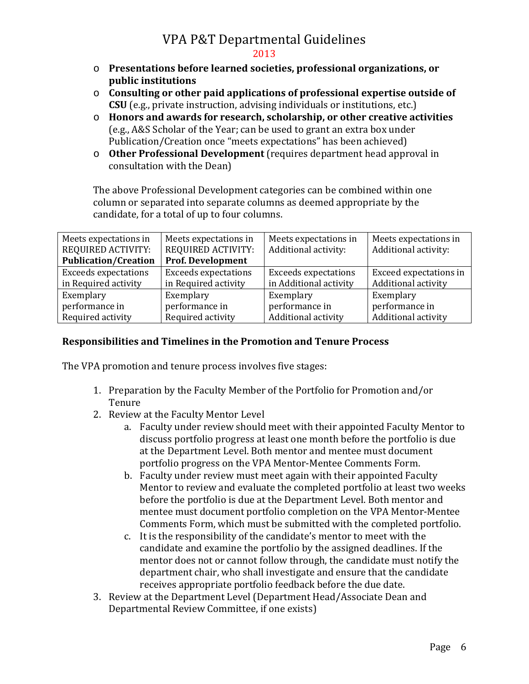- o **Presentations before learned societies, professional organizations, or public institutions**
- o **Consulting or other paid applications of professional expertise outside of CSU** (e.g., private instruction, advising individuals or institutions, etc.)
- o **Honors and awards for research, scholarship, or other creative activities** (e.g., A&S Scholar of the Year; can be used to grant an extra box under Publication/Creation once "meets expectations" has been achieved)
- o **Other Professional Development** (requires department head approval in consultation with the Dean)

The above Professional Development categories can be combined within one column or separated into separate columns as deemed appropriate by the candidate, for a total of up to four columns.

| Meets expectations in       | Meets expectations in       | Meets expectations in       | Meets expectations in      |
|-----------------------------|-----------------------------|-----------------------------|----------------------------|
| REQUIRED ACTIVITY:          | <b>REQUIRED ACTIVITY:</b>   | Additional activity:        | Additional activity:       |
| <b>Publication/Creation</b> | <b>Prof. Development</b>    |                             |                            |
| <b>Exceeds expectations</b> | <b>Exceeds expectations</b> | <b>Exceeds expectations</b> | Exceed expectations in     |
| in Required activity        | in Required activity        | in Additional activity      | Additional activity        |
| Exemplary                   | Exemplary                   | Exemplary                   | Exemplary                  |
| performance in              | performance in              | performance in              | performance in             |
| Required activity           | Required activity           | Additional activity         | <b>Additional activity</b> |

## **Responsibilities and Timelines in the Promotion and Tenure Process**

The VPA promotion and tenure process involves five stages:

- 1. Preparation by the Faculty Member of the Portfolio for Promotion and/or Tenure
- 2. Review at the Faculty Mentor Level
	- a. Faculty under review should meet with their appointed Faculty Mentor to discuss portfolio progress at least one month before the portfolio is due at the Department Level. Both mentor and mentee must document portfolio progress on the VPA Mentor-Mentee Comments Form.
	- b. Faculty under review must meet again with their appointed Faculty Mentor to review and evaluate the completed portfolio at least two weeks before the portfolio is due at the Department Level. Both mentor and mentee must document portfolio completion on the VPA Mentor-Mentee Comments Form, which must be submitted with the completed portfolio.
	- c. It is the responsibility of the candidate's mentor to meet with the candidate and examine the portfolio by the assigned deadlines. If the mentor does not or cannot follow through, the candidate must notify the department chair, who shall investigate and ensure that the candidate receives appropriate portfolio feedback before the due date.
- 3. Review at the Department Level (Department Head/Associate Dean and Departmental Review Committee, if one exists)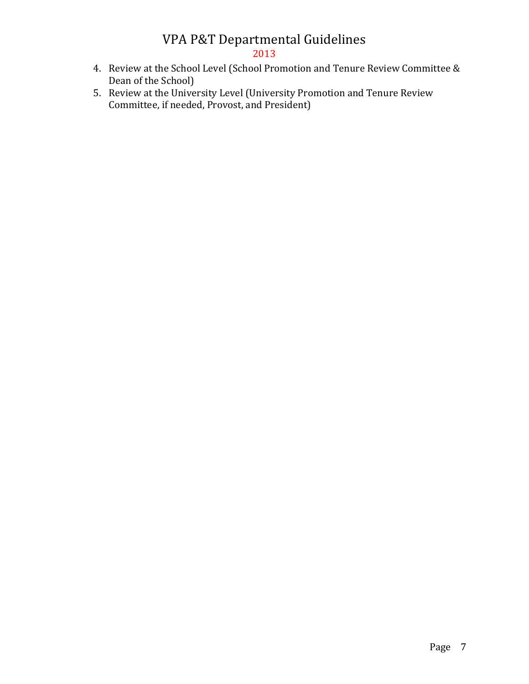# 2013

- 4. Review at the School Level (School Promotion and Tenure Review Committee & Dean of the School)
- 5. Review at the University Level (University Promotion and Tenure Review Committee, if needed, Provost, and President)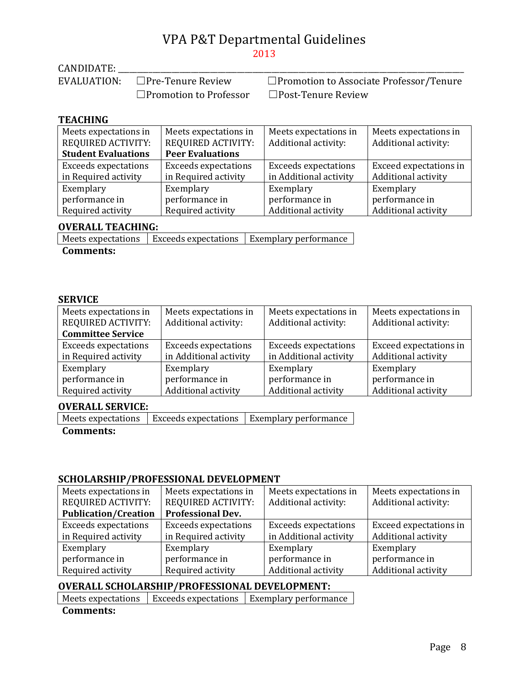CANDIDATE: \_\_\_\_\_\_\_\_\_\_\_\_\_\_\_\_\_\_\_\_\_\_\_\_\_\_\_\_\_\_\_\_\_\_\_\_\_\_\_\_\_\_\_\_\_\_\_\_\_\_\_\_\_\_\_\_\_\_\_\_\_\_\_\_\_\_\_\_\_\_\_\_\_\_\_\_\_\_\_\_\_\_\_\_\_\_\_\_\_\_

□Promotion to Associate Professor/Tenure ☐Promotion to Professor ☐Post-Tenure Review

#### **TEACHING**

| Meets expectations in<br><b>REQUIRED ACTIVITY:</b><br><b>Student Evaluations</b> | Meets expectations in<br><b>REQUIRED ACTIVITY:</b><br><b>Peer Evaluations</b> | Meets expectations in<br>Additional activity: | Meets expectations in<br>Additional activity: |
|----------------------------------------------------------------------------------|-------------------------------------------------------------------------------|-----------------------------------------------|-----------------------------------------------|
| <b>Exceeds expectations</b>                                                      | <b>Exceeds expectations</b>                                                   | <b>Exceeds expectations</b>                   | Exceed expectations in                        |
| in Required activity                                                             | in Required activity                                                          | in Additional activity                        | Additional activity                           |
| Exemplary                                                                        | Exemplary                                                                     | Exemplary                                     | Exemplary                                     |
| performance in                                                                   | performance in                                                                | performance in                                | performance in                                |
| Required activity                                                                | Required activity                                                             | Additional activity                           | <b>Additional activity</b>                    |

#### **OVERALL TEACHING:**

 $\vert$  Meets expectations  $\vert$  Exceeds expectations  $\vert$  Exemplary performance

**Comments:**

#### **SERVICE**

| Meets expectations in<br><b>REQUIRED ACTIVITY:</b> | Meets expectations in<br>Additional activity: | Meets expectations in<br>Additional activity: | Meets expectations in<br>Additional activity: |
|----------------------------------------------------|-----------------------------------------------|-----------------------------------------------|-----------------------------------------------|
| <b>Committee Service</b>                           |                                               |                                               |                                               |
| <b>Exceeds expectations</b>                        | <b>Exceeds expectations</b>                   | <b>Exceeds expectations</b>                   | Exceed expectations in                        |
| in Required activity                               | in Additional activity                        | in Additional activity                        | Additional activity                           |
| Exemplary                                          | Exemplary                                     | Exemplary                                     | Exemplary                                     |
| performance in                                     | performance in                                | performance in                                | performance in                                |
| Required activity                                  | Additional activity                           | Additional activity                           | Additional activity                           |

#### **OVERALL SERVICE:**

Meets expectations | Exceeds expectations | Exemplary performance

#### **Comments:**

## **SCHOLARSHIP/PROFESSIONAL DEVELOPMENT**

| Meets expectations in<br><b>REQUIRED ACTIVITY:</b> | Meets expectations in<br><b>REQUIRED ACTIVITY:</b> | Meets expectations in<br>Additional activity: | Meets expectations in<br>Additional activity: |
|----------------------------------------------------|----------------------------------------------------|-----------------------------------------------|-----------------------------------------------|
| <b>Publication/Creation</b>                        | <b>Professional Dev.</b>                           |                                               |                                               |
| <b>Exceeds expectations</b>                        | <b>Exceeds expectations</b>                        | <b>Exceeds expectations</b>                   | Exceed expectations in                        |
| in Required activity                               | in Required activity                               | in Additional activity                        | <b>Additional activity</b>                    |
| Exemplary                                          | Exemplary                                          | Exemplary                                     | Exemplary                                     |
| performance in                                     | performance in                                     | performance in                                | performance in                                |
| Required activity                                  | Required activity                                  | Additional activity                           | Additional activity                           |

## **OVERALL SCHOLARSHIP/PROFESSIONAL DEVELOPMENT:**

 $\vert$  Meets expectations  $\vert$  Exceeds expectations  $\vert$  Exemplary performance  $\vert$ 

**Comments:**